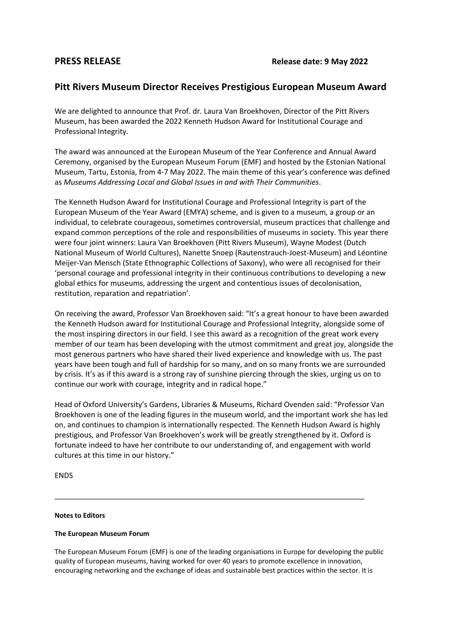# **Pitt Rivers Museum Director Receives Prestigious European Museum Award**

We are delighted to announce that Prof. dr. Laura Van Broekhoven, Director of the Pitt Rivers Museum, has been awarded the 2022 Kenneth Hudson Award for Institutional Courage and Professional Integrity.

The award was announced at the European Museum of the Year Conference and Annual Award Ceremony, organised by the European Museum Forum (EMF) and hosted by the Estonian National Museum, Tartu, Estonia, from 4-7 May 2022. The main theme of this year's conference was defined as *Museums Addressing Local and Global Issues in and with Their Communities*.

The Kenneth Hudson Award for Institutional Courage and Professional Integrity is part of the European Museum of the Year Award (EMYA) scheme, and is given to a museum, a group or an individual, to celebrate courageous, sometimes controversial, museum practices that challenge and expand common perceptions of the role and responsibilities of museums in society. This year there were four joint winners: Laura Van Broekhoven (Pitt Rivers Museum), Wayne Modest (Dutch National Museum of World Cultures), Nanette Snoep (Rautenstrauch-Joest-Museum) and Léontine Meijer-Van Mensch (State Ethnographic Collections of Saxony), who were all recognised for their 'personal courage and professional integrity in their continuous contributions to developing a new global ethics for museums, addressing the urgent and contentious issues of decolonisation, restitution, reparation and repatriation'.

On receiving the award, Professor Van Broekhoven said: "It's a great honour to have been awarded the Kenneth Hudson award for Institutional Courage and Professional Integrity, alongside some of the most inspiring directors in our field. I see this award as a recognition of the great work every member of our team has been developing with the utmost commitment and great joy, alongside the most generous partners who have shared their lived experience and knowledge with us. The past years have been tough and full of hardship for so many, and on so many fronts we are surrounded by crisis. It's as if this award is a strong ray of sunshine piercing through the skies, urging us on to continue our work with courage, integrity and in radical hope."

Head of Oxford University's Gardens, Libraries & Museums, Richard Ovenden said: "Professor Van Broekhoven is one of the leading figures in the museum world, and the important work she has led on, and continues to champion is internationally respected. The Kenneth Hudson Award is highly prestigious, and Professor Van Broekhoven's work will be greatly strengthened by it. Oxford is fortunate indeed to have her contribute to our understanding of, and engagement with world cultures at this time in our history."

ENDS

# **Notes to Editors**

# **The European Museum Forum**

The European Museum Forum (EMF) is one of the leading organisations in Europe for developing the public quality of European museums, having worked for over 40 years to promote excellence in innovation, encouraging networking and the exchange of ideas and sustainable best practices within the sector. It is

\_\_\_\_\_\_\_\_\_\_\_\_\_\_\_\_\_\_\_\_\_\_\_\_\_\_\_\_\_\_\_\_\_\_\_\_\_\_\_\_\_\_\_\_\_\_\_\_\_\_\_\_\_\_\_\_\_\_\_\_\_\_\_\_\_\_\_\_\_\_\_\_\_\_\_